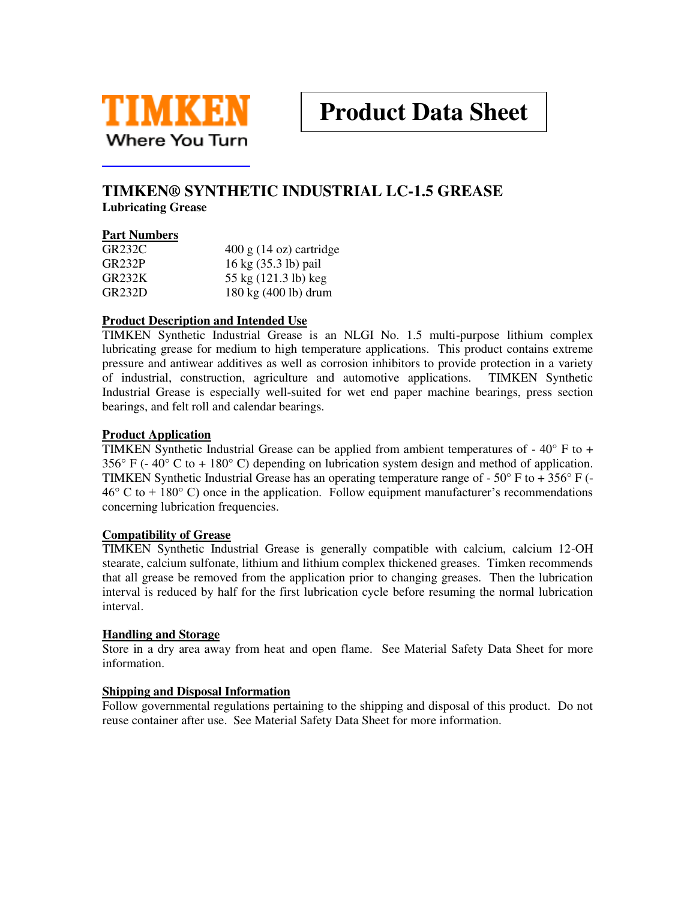

# **TIMKEN® SYNTHETIC INDUSTRIAL LC-1.5 GREASE Lubricating Grease**

## **Part Numbers**

| <b>GR232C</b> | $400 \text{ g}$ (14 oz) cartridge |
|---------------|-----------------------------------|
| <b>GR232P</b> | 16 kg (35.3 lb) pail              |
| GR232K        | 55 kg (121.3 lb) keg              |
| <b>GR232D</b> | 180 kg (400 lb) drum              |

## **Product Description and Intended Use**

TIMKEN Synthetic Industrial Grease is an NLGI No. 1.5 multi-purpose lithium complex lubricating grease for medium to high temperature applications. This product contains extreme pressure and antiwear additives as well as corrosion inhibitors to provide protection in a variety of industrial, construction, agriculture and automotive applications. TIMKEN Synthetic Industrial Grease is especially well-suited for wet end paper machine bearings, press section bearings, and felt roll and calendar bearings.

#### **Product Application**

TIMKEN Synthetic Industrial Grease can be applied from ambient temperatures of - 40° F to + 356° F (- 40° C to + 180° C) depending on lubrication system design and method of application. TIMKEN Synthetic Industrial Grease has an operating temperature range of  $-50^{\circ}$  F to  $+356^{\circ}$  F ( $46^{\circ}$  C to  $+ 180^{\circ}$  C) once in the application. Follow equipment manufacturer's recommendations concerning lubrication frequencies.

#### **Compatibility of Grease**

TIMKEN Synthetic Industrial Grease is generally compatible with calcium, calcium 12-OH stearate, calcium sulfonate, lithium and lithium complex thickened greases. Timken recommends that all grease be removed from the application prior to changing greases. Then the lubrication interval is reduced by half for the first lubrication cycle before resuming the normal lubrication interval.

#### **Handling and Storage**

Store in a dry area away from heat and open flame. See Material Safety Data Sheet for more information.

#### **Shipping and Disposal Information**

Follow governmental regulations pertaining to the shipping and disposal of this product. Do not reuse container after use. See Material Safety Data Sheet for more information.